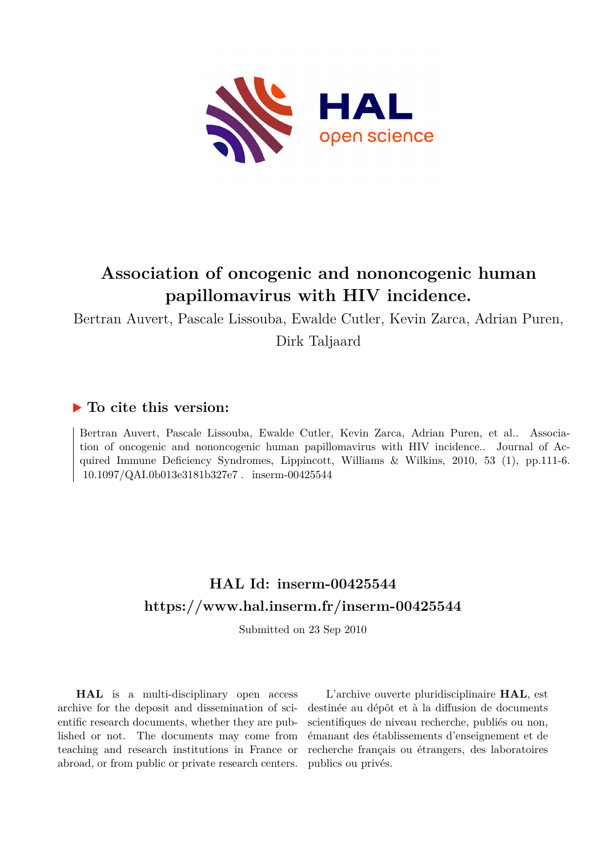

# **Association of oncogenic and nononcogenic human papillomavirus with HIV incidence.**

Bertran Auvert, Pascale Lissouba, Ewalde Cutler, Kevin Zarca, Adrian Puren, Dirk Taljaard

# **To cite this version:**

Bertran Auvert, Pascale Lissouba, Ewalde Cutler, Kevin Zarca, Adrian Puren, et al.. Association of oncogenic and nononcogenic human papillomavirus with HIV incidence.. Journal of Acquired Immune Deficiency Syndromes, Lippincott, Williams & Wilkins, 2010, 53 (1), pp.111-6. 10.1097/QAI.0b013e3181b327e7. inserm-00425544

# **HAL Id: inserm-00425544 <https://www.hal.inserm.fr/inserm-00425544>**

Submitted on 23 Sep 2010

**HAL** is a multi-disciplinary open access archive for the deposit and dissemination of scientific research documents, whether they are published or not. The documents may come from teaching and research institutions in France or abroad, or from public or private research centers.

L'archive ouverte pluridisciplinaire **HAL**, est destinée au dépôt et à la diffusion de documents scientifiques de niveau recherche, publiés ou non, émanant des établissements d'enseignement et de recherche français ou étrangers, des laboratoires publics ou privés.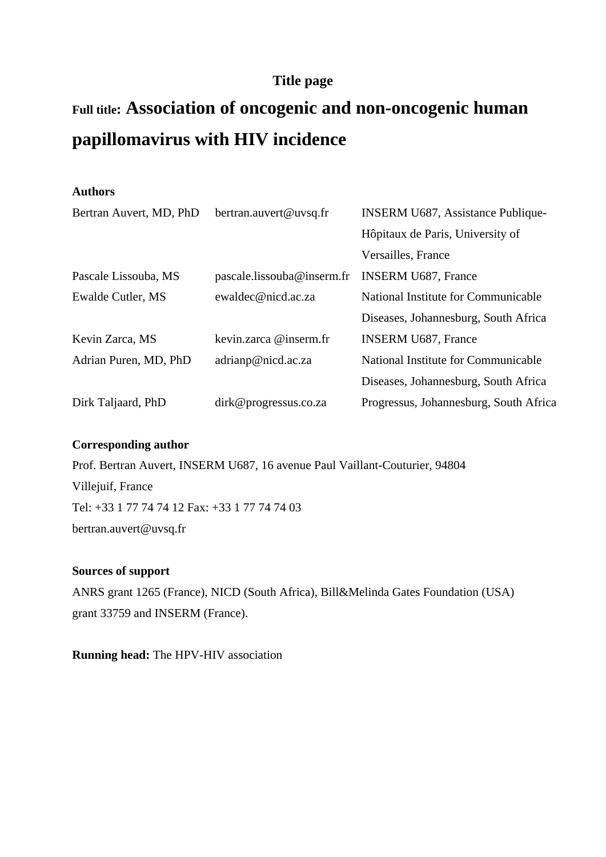# **Title page**

# **Full title: Association of oncogenic and non-oncogenic human papillomavirus with HIV incidence**

## **Authors**

| Bertran Auvert, MD, PhD | bertran.auvert@uvsq.fr     | <b>INSERM U687, Assistance Publique-</b> |
|-------------------------|----------------------------|------------------------------------------|
|                         |                            | Hôpitaux de Paris, University of         |
|                         |                            | Versailles, France                       |
| Pascale Lissouba, MS    | pascale.lissouba@inserm.fr | <b>INSERM U687, France</b>               |
| Ewalde Cutler, MS       | ewaldec@nicd.ac.za         | National Institute for Communicable      |
|                         |                            | Diseases, Johannesburg, South Africa     |
| Kevin Zarca, MS         | kevin.zarca @inserm.fr     | <b>INSERM U687, France</b>               |
| Adrian Puren, MD, PhD   | adrianp@nicd.ac.za         | National Institute for Communicable      |
|                         |                            | Diseases, Johannesburg, South Africa     |
| Dirk Taljaard, PhD      | dirk@progressus.co.za      | Progressus, Johannesburg, South Africa   |

#### **Corresponding author**

Prof. Bertran Auvert, INSERM U687, 16 avenue Paul Vaillant-Couturier, 94804 Villejuif, France Tel: +33 1 77 74 74 12 Fax: +33 1 77 74 74 03 bertran.auvert@uvsq.fr

#### **Sources of support**

ANRS grant 1265 (France), NICD (South Africa), Bill&Melinda Gates Foundation (USA) grant 33759 and INSERM (France).

**Running head:** The HPV-HIV association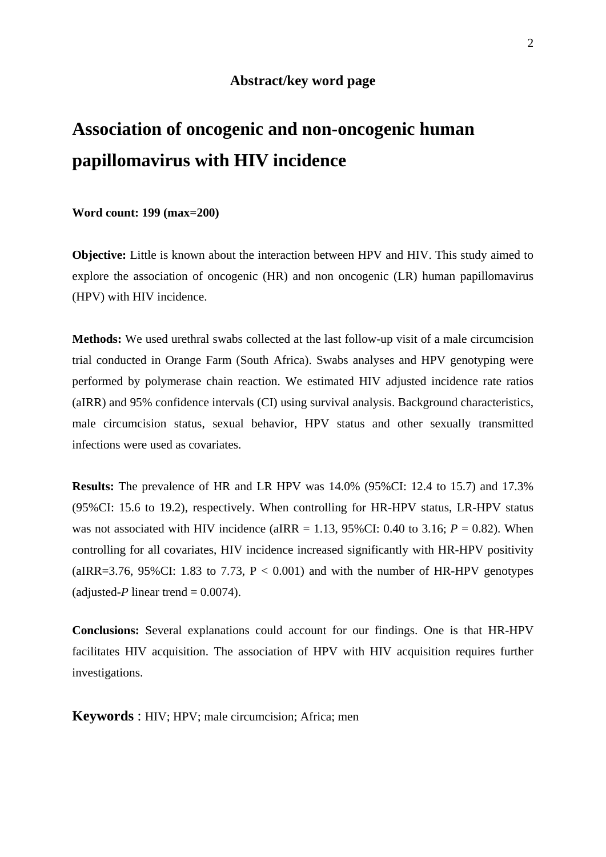#### **Abstract/key word page**

# **Association of oncogenic and non-oncogenic human papillomavirus with HIV incidence**

**Word count: 199 (max=200)** 

**Objective:** Little is known about the interaction between HPV and HIV. This study aimed to explore the association of oncogenic (HR) and non oncogenic (LR) human papillomavirus (HPV) with HIV incidence.

**Methods:** We used urethral swabs collected at the last follow-up visit of a male circumcision trial conducted in Orange Farm (South Africa). Swabs analyses and HPV genotyping were performed by polymerase chain reaction. We estimated HIV adjusted incidence rate ratios (aIRR) and 95% confidence intervals (CI) using survival analysis. Background characteristics, male circumcision status, sexual behavior, HPV status and other sexually transmitted infections were used as covariates.

**Results:** The prevalence of HR and LR HPV was 14.0% (95%CI: 12.4 to 15.7) and 17.3% (95%CI: 15.6 to 19.2), respectively. When controlling for HR-HPV status, LR-HPV status was not associated with HIV incidence (aIRR = 1.13,  $95\%$ CI: 0.40 to 3.16;  $P = 0.82$ ). When controlling for all covariates, HIV incidence increased significantly with HR-HPV positivity (aIRR=3.76, 95%CI: 1.83 to 7.73,  $P < 0.001$ ) and with the number of HR-HPV genotypes (adjusted-*P* linear trend  $= 0.0074$ ).

**Conclusions:** Several explanations could account for our findings. One is that HR-HPV facilitates HIV acquisition. The association of HPV with HIV acquisition requires further investigations.

**Keywords** : HIV; HPV; male circumcision; Africa; men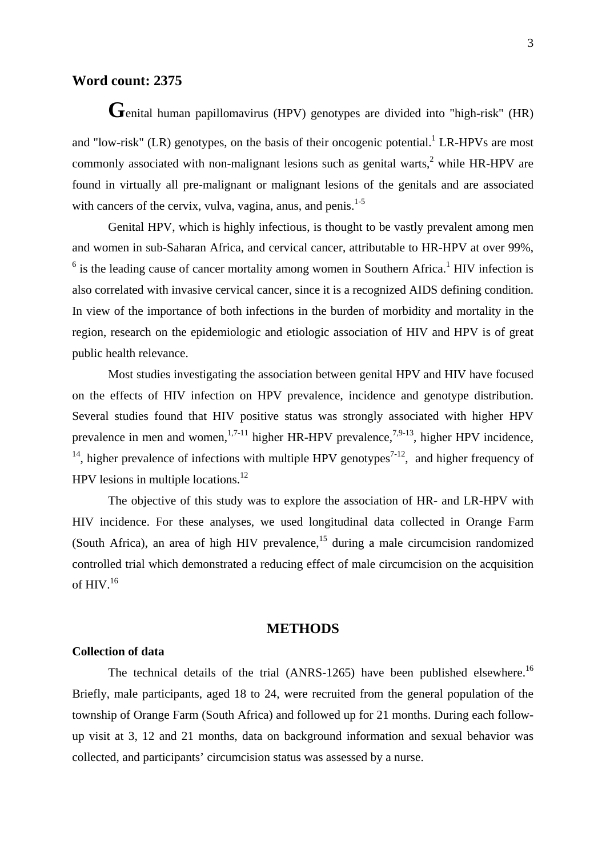# **Word count: 2375**

**G**enital human papillomavirus (HPV) genotypes are divided into "high-risk" (HR) and "low-risk" (LR) genotypes, on the basis of their oncogenic potential.<sup>1</sup> LR-HPVs are most commonly associated with non-malignant lesions such as genital warts, $<sup>2</sup>$  while HR-HPV are</sup> found in virtually all pre-malignant or malignant lesions of the genitals and are associated with cancers of the cervix, vulva, vagina, anus, and penis. $1-5$ 

Genital HPV, which is highly infectious, is thought to be vastly prevalent among men and women in sub-Saharan Africa, and cervical cancer, attributable to HR-HPV at over 99%,  $6$  is the leading cause of cancer mortality among women in Southern Africa.<sup>1</sup> HIV infection is also correlated with invasive cervical cancer, since it is a recognized AIDS defining condition. In view of the importance of both infections in the burden of morbidity and mortality in the region, research on the epidemiologic and etiologic association of HIV and HPV is of great public health relevance.

Most studies investigating the association between genital HPV and HIV have focused on the effects of HIV infection on HPV prevalence, incidence and genotype distribution. Several studies found that HIV positive status was strongly associated with higher HPV prevalence in men and women,  $1.7-11$  higher HR-HPV prevalence,  $7.9-13$ , higher HPV incidence, <sup>14</sup>, higher prevalence of infections with multiple HPV genotypes<sup>7-12</sup>, and higher frequency of HPV lesions in multiple locations. $^{12}$ 

The objective of this study was to explore the association of HR- and LR-HPV with HIV incidence. For these analyses, we used longitudinal data collected in Orange Farm (South Africa), an area of high HIV prevalence,  $15$  during a male circumcision randomized controlled trial which demonstrated a reducing effect of male circumcision on the acquisition of HIV.<sup>16</sup>

### **METHODS**

#### **Collection of data**

The technical details of the trial (ANRS-1265) have been published elsewhere.<sup>16</sup> Briefly, male participants, aged 18 to 24, were recruited from the general population of the township of Orange Farm (South Africa) and followed up for 21 months. During each followup visit at 3, 12 and 21 months, data on background information and sexual behavior was collected, and participants' circumcision status was assessed by a nurse.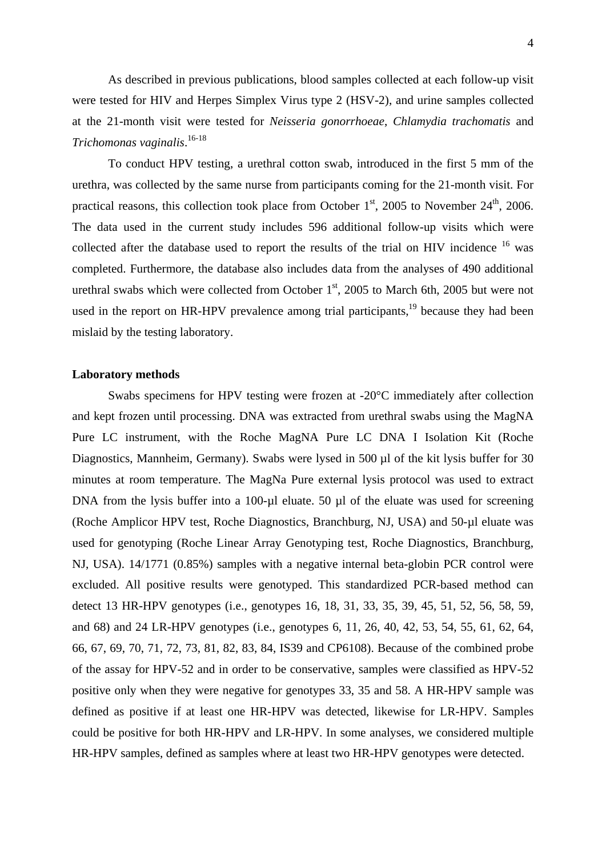As described in previous publications, blood samples collected at each follow-up visit were tested for HIV and Herpes Simplex Virus type 2 (HSV-2), and urine samples collected at the 21-month visit were tested for *Neisseria gonorrhoeae*, *Chlamydia trachomatis* and *Trichomonas vaginalis*. 16-18

To conduct HPV testing, a urethral cotton swab, introduced in the first 5 mm of the urethra, was collected by the same nurse from participants coming for the 21-month visit. For practical reasons, this collection took place from October  $1<sup>st</sup>$ , 2005 to November  $24<sup>th</sup>$ , 2006. The data used in the current study includes 596 additional follow-up visits which were collected after the database used to report the results of the trial on HIV incidence <sup>16</sup> was completed. Furthermore, the database also includes data from the analyses of 490 additional urethral swabs which were collected from October  $1<sup>st</sup>$ , 2005 to March 6th, 2005 but were not used in the report on HR-HPV prevalence among trial participants,  $19$  because they had been mislaid by the testing laboratory.

#### **Laboratory methods**

Swabs specimens for HPV testing were frozen at -20°C immediately after collection and kept frozen until processing. DNA was extracted from urethral swabs using the MagNA Pure LC instrument, with the Roche MagNA Pure LC DNA I Isolation Kit (Roche Diagnostics, Mannheim, Germany). Swabs were lysed in 500 µl of the kit lysis buffer for 30 minutes at room temperature. The MagNa Pure external lysis protocol was used to extract DNA from the lysis buffer into a 100-µl eluate. 50 µl of the eluate was used for screening (Roche Amplicor HPV test, Roche Diagnostics, Branchburg, NJ, USA) and 50-µl eluate was used for genotyping (Roche Linear Array Genotyping test, Roche Diagnostics, Branchburg, NJ, USA). 14/1771 (0.85%) samples with a negative internal beta-globin PCR control were excluded. All positive results were genotyped. This standardized PCR-based method can detect 13 HR-HPV genotypes (i.e., genotypes 16, 18, 31, 33, 35, 39, 45, 51, 52, 56, 58, 59, and 68) and 24 LR-HPV genotypes (i.e., genotypes 6, 11, 26, 40, 42, 53, 54, 55, 61, 62, 64, 66, 67, 69, 70, 71, 72, 73, 81, 82, 83, 84, IS39 and CP6108). Because of the combined probe of the assay for HPV-52 and in order to be conservative, samples were classified as HPV-52 positive only when they were negative for genotypes 33, 35 and 58. A HR-HPV sample was defined as positive if at least one HR-HPV was detected, likewise for LR-HPV. Samples could be positive for both HR-HPV and LR-HPV. In some analyses, we considered multiple HR-HPV samples, defined as samples where at least two HR-HPV genotypes were detected.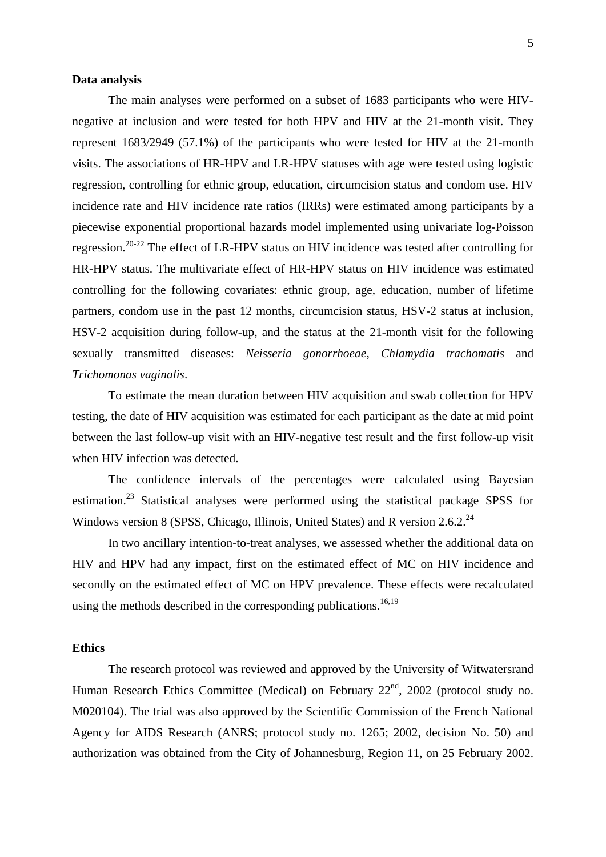#### **Data analysis**

The main analyses were performed on a subset of 1683 participants who were HIVnegative at inclusion and were tested for both HPV and HIV at the 21-month visit. They represent 1683/2949 (57.1%) of the participants who were tested for HIV at the 21-month visits. The associations of HR-HPV and LR-HPV statuses with age were tested using logistic regression, controlling for ethnic group, education, circumcision status and condom use. HIV incidence rate and HIV incidence rate ratios (IRRs) were estimated among participants by a piecewise exponential proportional hazards model implemented using univariate log-Poisson regression.<sup>20-22</sup> The effect of LR-HPV status on HIV incidence was tested after controlling for HR-HPV status. The multivariate effect of HR-HPV status on HIV incidence was estimated controlling for the following covariates: ethnic group, age, education, number of lifetime partners, condom use in the past 12 months, circumcision status, HSV-2 status at inclusion, HSV-2 acquisition during follow-up, and the status at the 21-month visit for the following sexually transmitted diseases: *Neisseria gonorrhoeae*, *Chlamydia trachomatis* and *Trichomonas vaginalis*.

To estimate the mean duration between HIV acquisition and swab collection for HPV testing, the date of HIV acquisition was estimated for each participant as the date at mid point between the last follow-up visit with an HIV-negative test result and the first follow-up visit when HIV infection was detected.

The confidence intervals of the percentages were calculated using Bayesian estimation.<sup>23</sup> Statistical analyses were performed using the statistical package SPSS for Windows version 8 (SPSS, Chicago, Illinois, United States) and R version 2.6.2. $^{24}$ 

In two ancillary intention-to-treat analyses, we assessed whether the additional data on HIV and HPV had any impact, first on the estimated effect of MC on HIV incidence and secondly on the estimated effect of MC on HPV prevalence. These effects were recalculated using the methods described in the corresponding publications.<sup>16,19</sup>

#### **Ethics**

The research protocol was reviewed and approved by the University of Witwatersrand Human Research Ethics Committee (Medical) on February  $22<sup>nd</sup>$ , 2002 (protocol study no. M020104). The trial was also approved by the Scientific Commission of the French National Agency for AIDS Research (ANRS; protocol study no. 1265; 2002, decision No. 50) and authorization was obtained from the City of Johannesburg, Region 11, on 25 February 2002.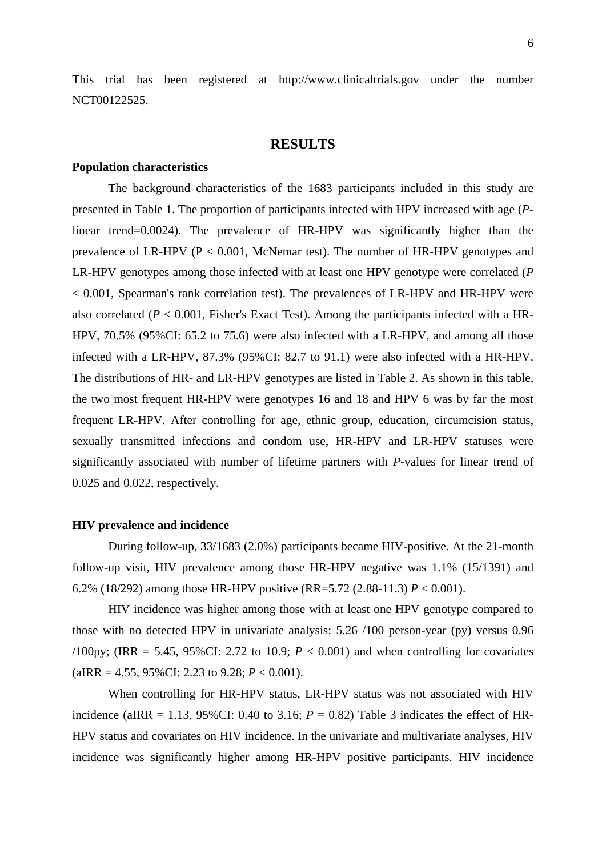This trial has been registered at http://www.clinicaltrials.gov under the number NCT00122525.

#### **RESULTS**

#### **Population characteristics**

The background characteristics of the 1683 participants included in this study are presented in Table 1. The proportion of participants infected with HPV increased with age (*P*linear trend=0.0024). The prevalence of HR-HPV was significantly higher than the prevalence of LR-HPV ( $P < 0.001$ , McNemar test). The number of HR-HPV genotypes and LR-HPV genotypes among those infected with at least one HPV genotype were correlated (*P* < 0.001, Spearman's rank correlation test). The prevalences of LR-HPV and HR-HPV were also correlated  $(P < 0.001$ , Fisher's Exact Test). Among the participants infected with a HR-HPV, 70.5% (95%CI: 65.2 to 75.6) were also infected with a LR-HPV, and among all those infected with a LR-HPV, 87.3% (95%CI: 82.7 to 91.1) were also infected with a HR-HPV. The distributions of HR- and LR-HPV genotypes are listed in Table 2. As shown in this table, the two most frequent HR-HPV were genotypes 16 and 18 and HPV 6 was by far the most frequent LR-HPV. After controlling for age, ethnic group, education, circumcision status, sexually transmitted infections and condom use, HR-HPV and LR-HPV statuses were significantly associated with number of lifetime partners with *P*-values for linear trend of 0.025 and 0.022, respectively.

#### **HIV prevalence and incidence**

During follow-up, 33/1683 (2.0%) participants became HIV-positive. At the 21-month follow-up visit, HIV prevalence among those HR-HPV negative was 1.1% (15/1391) and 6.2% (18/292) among those HR-HPV positive (RR=5.72 (2.88-11.3) *P* < 0.001).

HIV incidence was higher among those with at least one HPV genotype compared to those with no detected HPV in univariate analysis: 5.26 /100 person-year (py) versus 0.96 /100py; (IRR = 5.45, 95%CI: 2.72 to 10.9;  $P < 0.001$ ) and when controlling for covariates (aIRR = 4.55, 95%CI: 2.23 to 9.28;  $P < 0.001$ ).

When controlling for HR-HPV status, LR-HPV status was not associated with HIV incidence (aIRR = 1.13,  $95\%$ CI: 0.40 to 3.16;  $P = 0.82$ ) Table 3 indicates the effect of HR-HPV status and covariates on HIV incidence. In the univariate and multivariate analyses, HIV incidence was significantly higher among HR-HPV positive participants. HIV incidence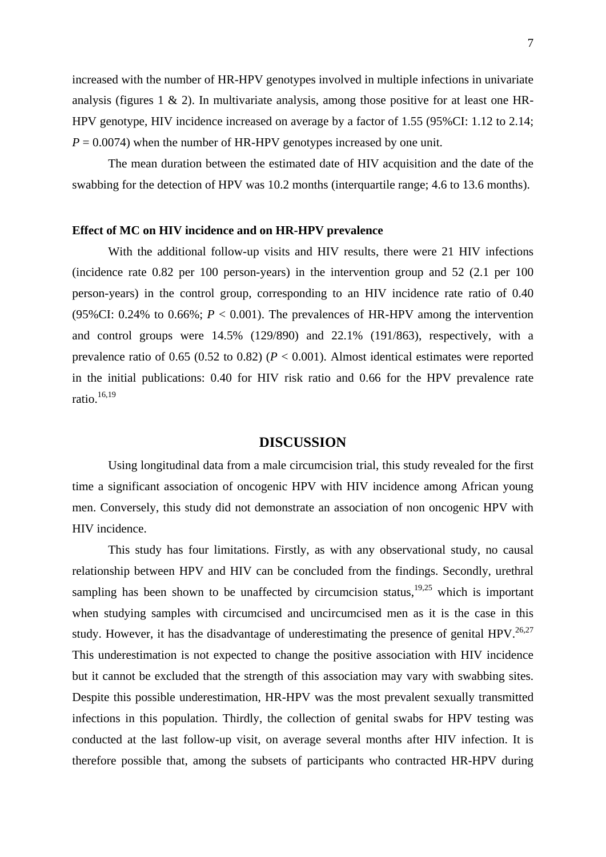increased with the number of HR-HPV genotypes involved in multiple infections in univariate analysis (figures  $1 \& 2$ ). In multivariate analysis, among those positive for at least one HR-HPV genotype, HIV incidence increased on average by a factor of 1.55 (95%CI: 1.12 to 2.14;  $P = 0.0074$ ) when the number of HR-HPV genotypes increased by one unit.

The mean duration between the estimated date of HIV acquisition and the date of the swabbing for the detection of HPV was 10.2 months (interquartile range; 4.6 to 13.6 months).

#### **Effect of MC on HIV incidence and on HR-HPV prevalence**

With the additional follow-up visits and HIV results, there were 21 HIV infections (incidence rate 0.82 per 100 person-years) in the intervention group and 52 (2.1 per 100 person-years) in the control group, corresponding to an HIV incidence rate ratio of 0.40 (95%CI:  $0.24\%$  to  $0.66\%$ ;  $P < 0.001$ ). The prevalences of HR-HPV among the intervention and control groups were 14.5% (129/890) and 22.1% (191/863), respectively, with a prevalence ratio of 0.65 (0.52 to 0.82) (*P* < 0.001). Almost identical estimates were reported in the initial publications: 0.40 for HIV risk ratio and 0.66 for the HPV prevalence rate ratio. $16,19$ 

### **DISCUSSION**

Using longitudinal data from a male circumcision trial, this study revealed for the first time a significant association of oncogenic HPV with HIV incidence among African young men. Conversely, this study did not demonstrate an association of non oncogenic HPV with HIV incidence.

This study has four limitations. Firstly, as with any observational study, no causal relationship between HPV and HIV can be concluded from the findings. Secondly, urethral sampling has been shown to be unaffected by circumcision status,  $19,25$  which is important when studying samples with circumcised and uncircumcised men as it is the case in this study. However, it has the disadvantage of underestimating the presence of genital HPV.<sup>26,27</sup> This underestimation is not expected to change the positive association with HIV incidence but it cannot be excluded that the strength of this association may vary with swabbing sites. Despite this possible underestimation, HR-HPV was the most prevalent sexually transmitted infections in this population. Thirdly, the collection of genital swabs for HPV testing was conducted at the last follow-up visit, on average several months after HIV infection. It is therefore possible that, among the subsets of participants who contracted HR-HPV during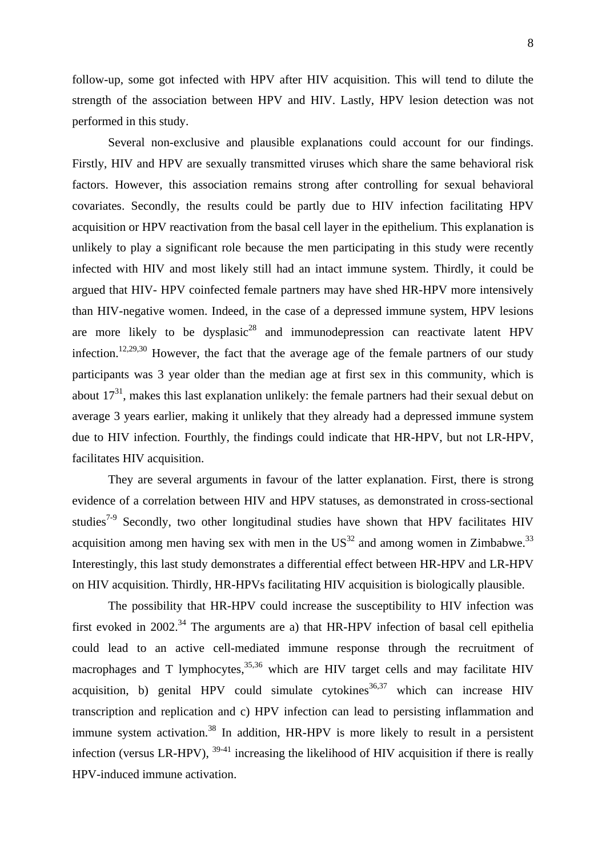follow-up, some got infected with HPV after HIV acquisition. This will tend to dilute the strength of the association between HPV and HIV. Lastly, HPV lesion detection was not performed in this study.

Several non-exclusive and plausible explanations could account for our findings. Firstly, HIV and HPV are sexually transmitted viruses which share the same behavioral risk factors. However, this association remains strong after controlling for sexual behavioral covariates. Secondly, the results could be partly due to HIV infection facilitating HPV acquisition or HPV reactivation from the basal cell layer in the epithelium. This explanation is unlikely to play a significant role because the men participating in this study were recently infected with HIV and most likely still had an intact immune system. Thirdly, it could be argued that HIV- HPV coinfected female partners may have shed HR-HPV more intensively than HIV-negative women. Indeed, in the case of a depressed immune system, HPV lesions are more likely to be dysplasic<sup>28</sup> and immunodepression can reactivate latent HPV infection.<sup>12,29,30</sup> However, the fact that the average age of the female partners of our study participants was 3 year older than the median age at first sex in this community, which is about  $17<sup>31</sup>$ , makes this last explanation unlikely: the female partners had their sexual debut on average 3 years earlier, making it unlikely that they already had a depressed immune system due to HIV infection. Fourthly, the findings could indicate that HR-HPV, but not LR-HPV, facilitates HIV acquisition.

They are several arguments in favour of the latter explanation. First, there is strong evidence of a correlation between HIV and HPV statuses, as demonstrated in cross-sectional studies<sup> $7-9$ </sup> Secondly, two other longitudinal studies have shown that HPV facilitates HIV acquisition among men having sex with men in the  $US^{32}$  and among women in Zimbabwe.<sup>33</sup> Interestingly, this last study demonstrates a differential effect between HR-HPV and LR-HPV on HIV acquisition. Thirdly, HR-HPVs facilitating HIV acquisition is biologically plausible.

The possibility that HR-HPV could increase the susceptibility to HIV infection was first evoked in 2002.<sup>34</sup> The arguments are a) that HR-HPV infection of basal cell epithelia could lead to an active cell-mediated immune response through the recruitment of macrophages and T lymphocytes, $35,36$  which are HIV target cells and may facilitate HIV acquisition, b) genital HPV could simulate cytokines<sup>36,37</sup> which can increase HIV transcription and replication and c) HPV infection can lead to persisting inflammation and immune system activation.<sup>38</sup> In addition,  $HR-HPV$  is more likely to result in a persistent infection (versus LR-HPV), 39-41 increasing the likelihood of HIV acquisition if there is really HPV-induced immune activation.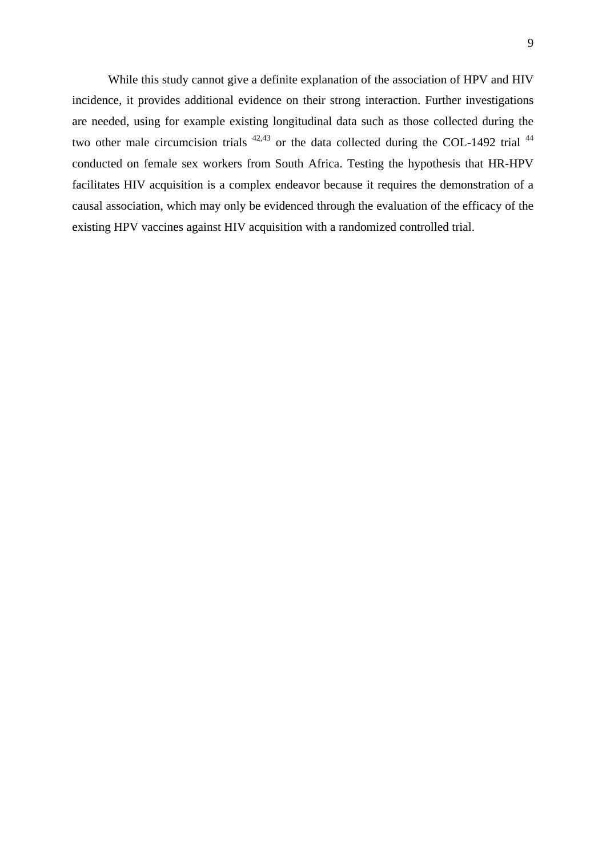While this study cannot give a definite explanation of the association of HPV and HIV incidence, it provides additional evidence on their strong interaction. Further investigations are needed, using for example existing longitudinal data such as those collected during the two other male circumcision trials  $42,43$  or the data collected during the COL-1492 trial  $44$ conducted on female sex workers from South Africa. Testing the hypothesis that HR-HPV facilitates HIV acquisition is a complex endeavor because it requires the demonstration of a causal association, which may only be evidenced through the evaluation of the efficacy of the existing HPV vaccines against HIV acquisition with a randomized controlled trial.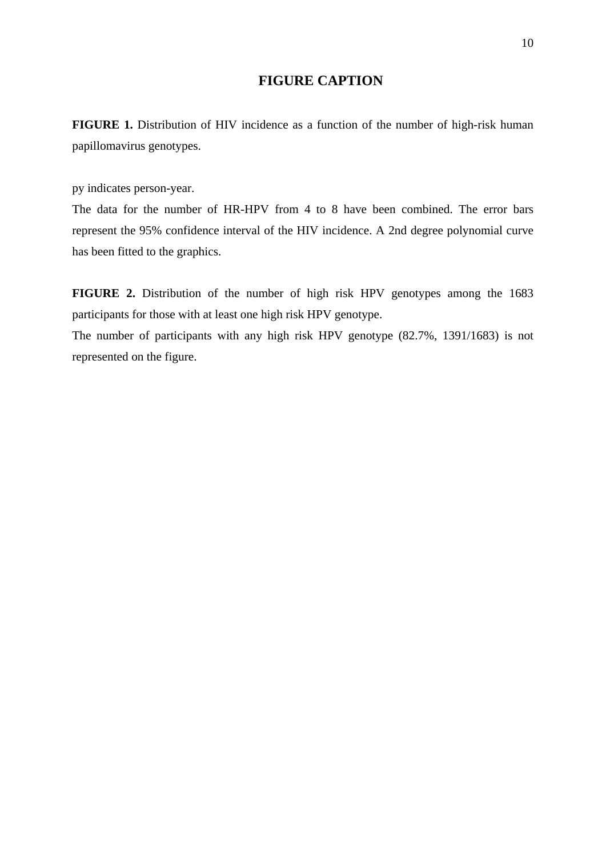# **FIGURE CAPTION**

**FIGURE 1.** Distribution of HIV incidence as a function of the number of high-risk human papillomavirus genotypes.

py indicates person-year.

The data for the number of HR-HPV from 4 to 8 have been combined. The error bars represent the 95% confidence interval of the HIV incidence. A 2nd degree polynomial curve has been fitted to the graphics.

**FIGURE 2.** Distribution of the number of high risk HPV genotypes among the 1683 participants for those with at least one high risk HPV genotype.

The number of participants with any high risk HPV genotype (82.7%, 1391/1683) is not represented on the figure.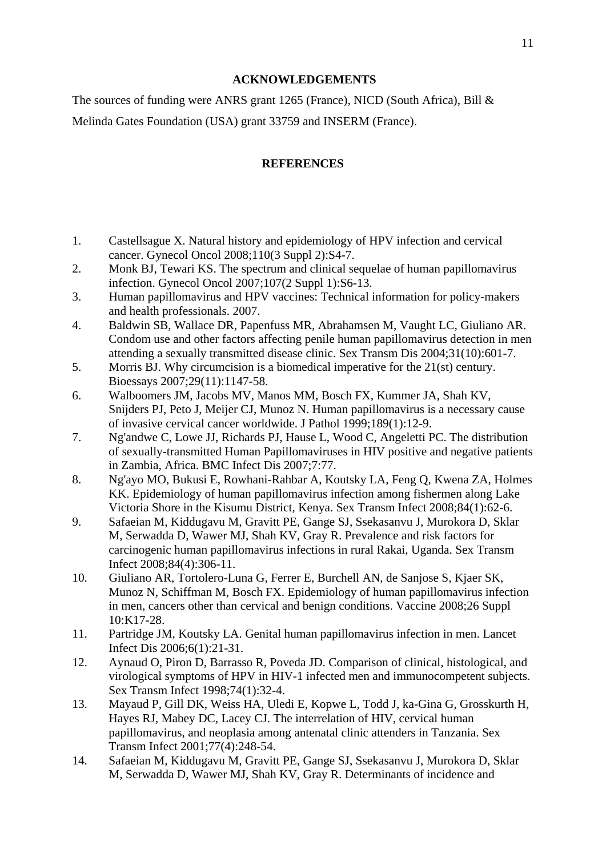# **ACKNOWLEDGEMENTS**

The sources of funding were ANRS grant 1265 (France), NICD (South Africa), Bill & Melinda Gates Foundation (USA) grant 33759 and INSERM (France).

# **REFERENCES**

- 1. Castellsague X. Natural history and epidemiology of HPV infection and cervical cancer. Gynecol Oncol 2008;110(3 Suppl 2):S4-7.
- 2. Monk BJ, Tewari KS. The spectrum and clinical sequelae of human papillomavirus infection. Gynecol Oncol 2007;107(2 Suppl 1):S6-13.
- 3. Human papillomavirus and HPV vaccines: Technical information for policy-makers and health professionals. 2007.
- 4. Baldwin SB, Wallace DR, Papenfuss MR, Abrahamsen M, Vaught LC, Giuliano AR. Condom use and other factors affecting penile human papillomavirus detection in men attending a sexually transmitted disease clinic. Sex Transm Dis 2004;31(10):601-7.
- 5. Morris BJ. Why circumcision is a biomedical imperative for the 21(st) century. Bioessays 2007;29(11):1147-58.
- 6. Walboomers JM, Jacobs MV, Manos MM, Bosch FX, Kummer JA, Shah KV, Snijders PJ, Peto J, Meijer CJ, Munoz N. Human papillomavirus is a necessary cause of invasive cervical cancer worldwide. J Pathol 1999;189(1):12-9.
- 7. Ng'andwe C, Lowe JJ, Richards PJ, Hause L, Wood C, Angeletti PC. The distribution of sexually-transmitted Human Papillomaviruses in HIV positive and negative patients in Zambia, Africa. BMC Infect Dis 2007;7:77.
- 8. Ng'ayo MO, Bukusi E, Rowhani-Rahbar A, Koutsky LA, Feng Q, Kwena ZA, Holmes KK. Epidemiology of human papillomavirus infection among fishermen along Lake Victoria Shore in the Kisumu District, Kenya. Sex Transm Infect 2008;84(1):62-6.
- 9. Safaeian M, Kiddugavu M, Gravitt PE, Gange SJ, Ssekasanvu J, Murokora D, Sklar M, Serwadda D, Wawer MJ, Shah KV, Gray R. Prevalence and risk factors for carcinogenic human papillomavirus infections in rural Rakai, Uganda. Sex Transm Infect 2008;84(4):306-11.
- 10. Giuliano AR, Tortolero-Luna G, Ferrer E, Burchell AN, de Sanjose S, Kjaer SK, Munoz N, Schiffman M, Bosch FX. Epidemiology of human papillomavirus infection in men, cancers other than cervical and benign conditions. Vaccine 2008;26 Suppl 10:K17-28.
- 11. Partridge JM, Koutsky LA. Genital human papillomavirus infection in men. Lancet Infect Dis 2006;6(1):21-31.
- 12. Aynaud O, Piron D, Barrasso R, Poveda JD. Comparison of clinical, histological, and virological symptoms of HPV in HIV-1 infected men and immunocompetent subjects. Sex Transm Infect 1998;74(1):32-4.
- 13. Mayaud P, Gill DK, Weiss HA, Uledi E, Kopwe L, Todd J, ka-Gina G, Grosskurth H, Hayes RJ, Mabey DC, Lacey CJ. The interrelation of HIV, cervical human papillomavirus, and neoplasia among antenatal clinic attenders in Tanzania. Sex Transm Infect 2001;77(4):248-54.
- 14. Safaeian M, Kiddugavu M, Gravitt PE, Gange SJ, Ssekasanvu J, Murokora D, Sklar M, Serwadda D, Wawer MJ, Shah KV, Gray R. Determinants of incidence and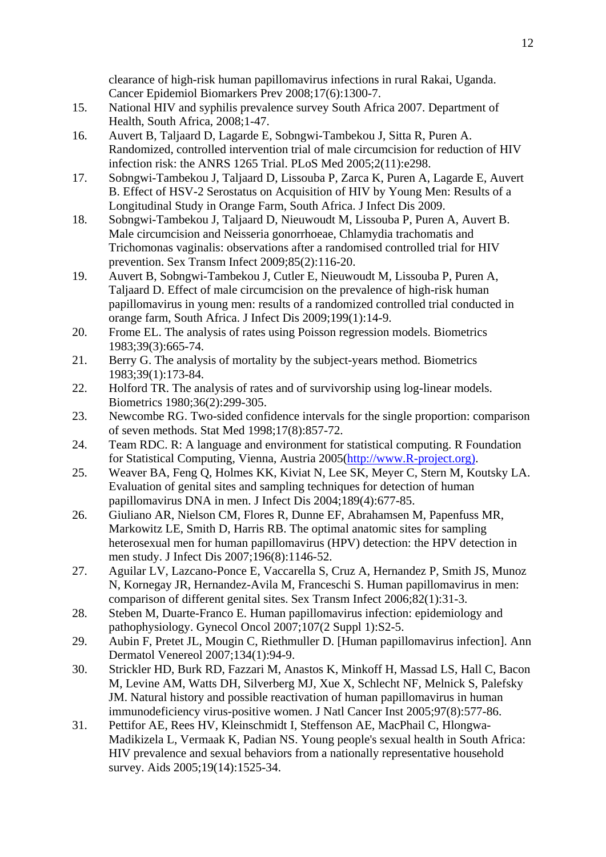clearance of high-risk human papillomavirus infections in rural Rakai, Uganda. Cancer Epidemiol Biomarkers Prev 2008;17(6):1300-7.

- 15. National HIV and syphilis prevalence survey South Africa 2007. Department of Health, South Africa, 2008;1-47.
- 16. Auvert B, Taljaard D, Lagarde E, Sobngwi-Tambekou J, Sitta R, Puren A. Randomized, controlled intervention trial of male circumcision for reduction of HIV infection risk: the ANRS 1265 Trial. PLoS Med 2005;2(11):e298.
- 17. Sobngwi-Tambekou J, Taljaard D, Lissouba P, Zarca K, Puren A, Lagarde E, Auvert B. Effect of HSV-2 Serostatus on Acquisition of HIV by Young Men: Results of a Longitudinal Study in Orange Farm, South Africa. J Infect Dis 2009.
- 18. Sobngwi-Tambekou J, Taljaard D, Nieuwoudt M, Lissouba P, Puren A, Auvert B. Male circumcision and Neisseria gonorrhoeae, Chlamydia trachomatis and Trichomonas vaginalis: observations after a randomised controlled trial for HIV prevention. Sex Transm Infect 2009;85(2):116-20.
- 19. Auvert B, Sobngwi-Tambekou J, Cutler E, Nieuwoudt M, Lissouba P, Puren A, Taljaard D. Effect of male circumcision on the prevalence of high-risk human papillomavirus in young men: results of a randomized controlled trial conducted in orange farm, South Africa. J Infect Dis 2009;199(1):14-9.
- 20. Frome EL. The analysis of rates using Poisson regression models. Biometrics 1983;39(3):665-74.
- 21. Berry G. The analysis of mortality by the subject-years method. Biometrics 1983;39(1):173-84.
- 22. Holford TR. The analysis of rates and of survivorship using log-linear models. Biometrics 1980;36(2):299-305.
- 23. Newcombe RG. Two-sided confidence intervals for the single proportion: comparison of seven methods. Stat Med 1998;17(8):857-72.
- 24. Team RDC. R: A language and environment for statistical computing. R Foundation for Statistical Computing, Vienna, Austria 2005(http://www.R-project.org).
- 25. Weaver BA, Feng Q, Holmes KK, Kiviat N, Lee SK, Meyer C, Stern M, Koutsky LA. Evaluation of genital sites and sampling techniques for detection of human papillomavirus DNA in men. J Infect Dis 2004;189(4):677-85.
- 26. Giuliano AR, Nielson CM, Flores R, Dunne EF, Abrahamsen M, Papenfuss MR, Markowitz LE, Smith D, Harris RB. The optimal anatomic sites for sampling heterosexual men for human papillomavirus (HPV) detection: the HPV detection in men study. J Infect Dis 2007;196(8):1146-52.
- 27. Aguilar LV, Lazcano-Ponce E, Vaccarella S, Cruz A, Hernandez P, Smith JS, Munoz N, Kornegay JR, Hernandez-Avila M, Franceschi S. Human papillomavirus in men: comparison of different genital sites. Sex Transm Infect 2006;82(1):31-3.
- 28. Steben M, Duarte-Franco E. Human papillomavirus infection: epidemiology and pathophysiology. Gynecol Oncol 2007;107(2 Suppl 1):S2-5.
- 29. Aubin F, Pretet JL, Mougin C, Riethmuller D. [Human papillomavirus infection]. Ann Dermatol Venereol 2007;134(1):94-9.
- 30. Strickler HD, Burk RD, Fazzari M, Anastos K, Minkoff H, Massad LS, Hall C, Bacon M, Levine AM, Watts DH, Silverberg MJ, Xue X, Schlecht NF, Melnick S, Palefsky JM. Natural history and possible reactivation of human papillomavirus in human immunodeficiency virus-positive women. J Natl Cancer Inst 2005;97(8):577-86.
- 31. Pettifor AE, Rees HV, Kleinschmidt I, Steffenson AE, MacPhail C, Hlongwa-Madikizela L, Vermaak K, Padian NS. Young people's sexual health in South Africa: HIV prevalence and sexual behaviors from a nationally representative household survey. Aids 2005;19(14):1525-34.